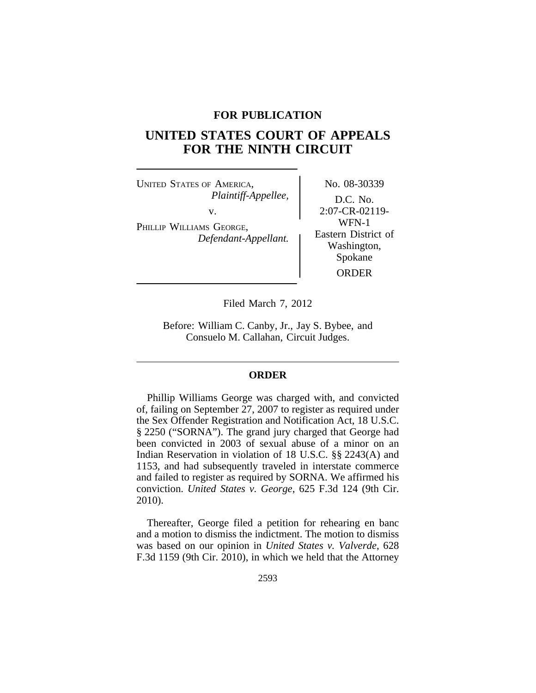## **FOR PUBLICATION**

## **UNITED STATES COURT OF APPEALS FOR THE NINTH CIRCUIT**

UNITED STATES OF AMERICA, No. 08-30339 *Plaintiff-Appellee,* D.C. No. v. 2:07-CR-02119-PHILLIP WILLIAMS GEORGE,<br> *Defendant-Appellant.* Eastern District of *Washington*,

Spokane ORDER

Filed March 7, 2012

Before: William C. Canby, Jr., Jay S. Bybee, and Consuelo M. Callahan, Circuit Judges.

## **ORDER**

Phillip Williams George was charged with, and convicted of, failing on September 27, 2007 to register as required under the Sex Offender Registration and Notification Act, 18 U.S.C. § 2250 ("SORNA"). The grand jury charged that George had been convicted in 2003 of sexual abuse of a minor on an Indian Reservation in violation of 18 U.S.C. §§ 2243(A) and 1153, and had subsequently traveled in interstate commerce and failed to register as required by SORNA. We affirmed his conviction. *United States v. George*, 625 F.3d 124 (9th Cir. 2010).

Thereafter, George filed a petition for rehearing en banc and a motion to dismiss the indictment. The motion to dismiss was based on our opinion in *United States v. Valverde*, 628 F.3d 1159 (9th Cir. 2010), in which we held that the Attorney